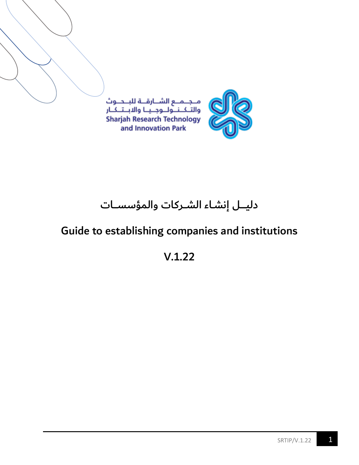

مــجــمــع الشـــارقـــة للبــحــوث<br>والتــكــنــولــوجــيــا والابــتــكــار<br>Sharjah Research Technology<br>and Innovation Park



# دليــل إنشـاء الشـركات والمؤسسـات

# Guide to establishing companies and institutions

# V.1.22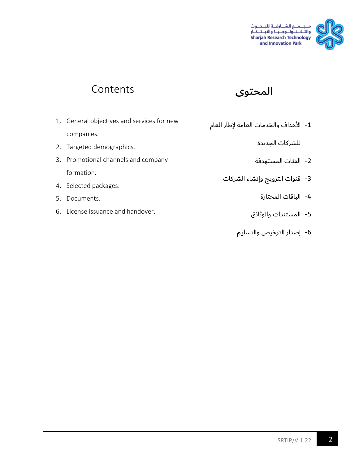

# المحتوى Contents

- 1. General objectives and services for new companies.
- 2. Targeted demographics.
- 3. Promotional channels and company formation.
- 4. Selected packages.
- 5. Documents.
- 6. License issuance and handover.

-1 األهداف والخدمات العامة إلطار العام

للشركات الجديدة

- -2 الفئات المستهدفة
- -3 قنوات الترويج وإنشاء الشركات
	- -4 الباقات المختارة
	- -5 المستندات والوثائق
	- -6 إصدار الترخيص والتسليم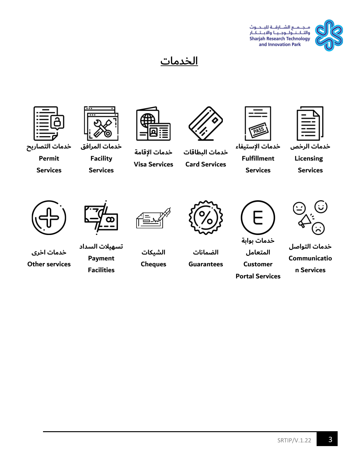جلملع الشنارقية للبنجلوث والتكانا ولجايا والاباتكار **Sharjah Research Technology** and Innovation Park



<u>الخدمات</u>





**خدمات التصاريح** 

**Permit** 

**Services**

**خدمات المرافق Facility Services**



**خدمات اإلقامة Visa Services**

**خدمات البطاقات Card Services**



**خدمات اإلستيفاء Fulfillment Services**



**خدمات الرخص Licensing**

**Services**



**خدمات اخرى Other services**



**تسهيالت السداد Payment Facilities**



**الشيكات Cheques**



**الضمانات Guarantees**



**خدمات بوابة المتعامل Customer Portal Services**



**خدمات التواصل Communicatio n Services**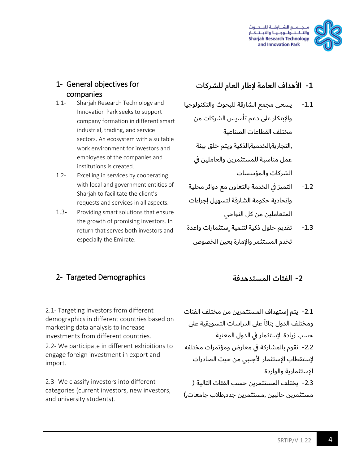

### 1- General objectives for companies

- 1.1- Sharjah Research Technology and Innovation Park seeks to support company formation in different smart industrial, trading, and service sectors. An ecosystem with a suitable work environment for investors and employees of the companies and institutions is created.
- 1.2- Excelling in services by cooperating with local and government entities of Sharjah to facilitate the client's requests and services in all aspects.
- 1.3- Providing smart solutions that ensure the growth of promising investors. In return that serves both investors and especially the Emirate.

# -1 األهداف العامة إلطار العام للشركات

- -1.1 يسعى مجمع الشارقة للبحوث والتكنولوجيا والإبتكار على دعم تأسيس الشركات من مختلف القطاعات الصناعية ,التجارية,الخدمية,الذكية ويتم خلق بيئة عمل مناسبة للمستثمرين والعاملين في الشركات والمؤسسات
- -1.2 التميز في الخدمة بالتعاون مع دوائر محلية وإتحادية حكومة الشارقة لتسهيل إجراءات المتعاملين من كل النواحي
- -1.3 تقديم حلول ذكية لتنمية إستثمارات واعدة تخدم المستثمر والإمارة بعين الخصوص

### 2- Targeted Demographics

2.1- Targeting investors from different demographics in different countries based on marketing data analysis to increase investments from different countries.

2.2- We participate in different exhibitions to engage foreign investment in export and import.

2.3- We classify investors into different categories (current investors, new investors, and university students).

### -2 الفئات المستدهدفة

-2.1 يتم إستهداف المستثمرين من مختلف الفئات ومختلف الدول بنائا على الدراسات التسويقية على حسب زيادة الإستثمار في الدول المعنية -2.2 نقوم بالمشاركة في معارض ومؤتمرات مختلفه إلستقطاب اإلستثمار األجنبي من حيث الصادرات الإستثمارية والواردة -2.3 يختلف المستثمرين حسب الفئات التالية ) مستثمرين حاليين ,مستثمرين جدد,طالب جامعات,(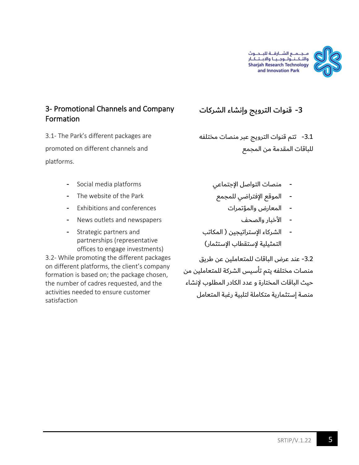

### 3- Promotional Channels and Company Formation

3.1- The Park's different packages are promoted on different channels and platforms.

- 
- The website of the Park للمجمع اإلفتراضي الموقع -
- Exhibitions and conferences والمؤتمرات المعارض -
- News outlets and newspapers والصحف األخبار -
- Strategic partners and partnerships (representative offices to engage investments)

3.2- While promoting the different packages on different platforms, the client's company formation is based on; the package chosen, the number of cadres requested, and the activities needed to ensure customer satisfaction

## -3 قنوات الترويج وإنشاء الشركات

-3.1 تتم قنوات الترويج عبر منصات مختلفه للباقات المقدمة من المجمع

- منصات التواصل اإلجتماعي platforms media Social
	- - -
	- الشركاء اإلستراتيجين ) المكاتب التمثيلية لإستقطاب الإستثمار)

-3.2 عند عرض الباقات للمتعاملين عن طريق منصات مختلفه يتم تأسيس الشركة للمتعاملين من حيث الباقات المختارة و عدد الكادر المطلوب إلنشاء منصة إستثمارية متكاملة لتلبية رغبة المتعامل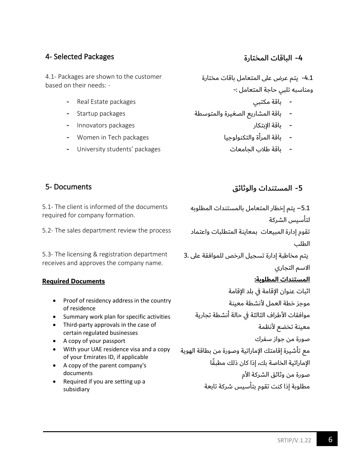### -4 الباقات المختارة Packages Selected 4-

4.1- Packages are shown to the customer based on their needs: -

- Real Estate packages مكتبي باقة -
- 
- باقة اإلبتكار packages Innovators -
- Women in Tech packages والتكنولوجيا المرأة باقة -
- باقة طالب الجامعات packages' students University -

-4.1 يتم عرض على المتعامل باقات مختارة ومناسبه تلبي حاجة المتعامل -:

- 
- باقة المشاريع الصغيرة والمتوسطة packages Startup
	-
	- -

## 5- Documents

5.1- The client is informed of the documents required for company formation.

تقوم إدارة المبيعات بمعاينة المتطلبات واعتماد process the review department sales The 5.2-

5.3- The licensing & registration department receives and approves the company name.

### **Required Documents**

- Proof of residency address in the country of residence
- Summary work plan for specific activities
- Third-party approvals in the case of certain regulated businesses
- A copy of your passport
- With your UAE residence visa and a copy of your Emirates ID, if applicable
- A copy of the parent company's documents
- Required if you are setting up a subsidiary

## -5 المستندات والوثائق

5.1– يتم إخطار المتعامل بالمستندات المطلوبه

لتأسيس الشركة

الطلب

يتم مخاطبة إدارة تسجيل الرخص للموافقة على 3. االسم التجاري

### **المستندات المطلوبة:**

اثبات عنوان اإلقامة في بلد اإلقامة موجز خطة العمل لأنشطة معينة موافقات الأطراف الثالثة في حالة أنشطة تجارية معينة تخضع لأنظمة صورة من جواز سفرك مع تأشيرة إقامتك الإماراتية وصورة من بطاقة الهوية اإلماراتية الخاصة بك، إذا كان ذلك مطب قا صورة من وثائق الشركة الأم

مطلوبة إذا كنت تقوم بتأسيس شركة تابعة